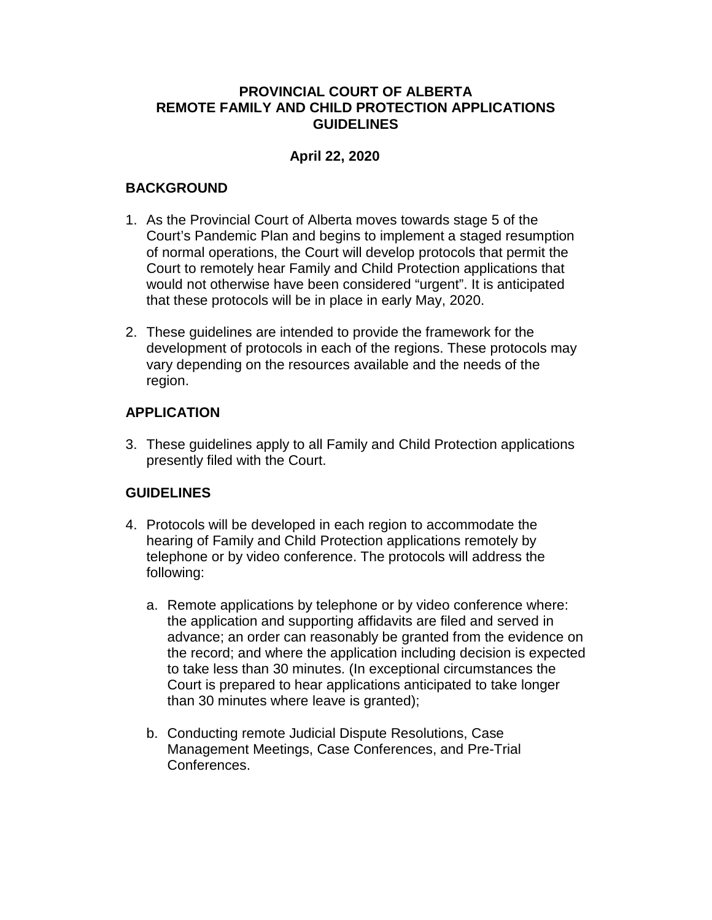## **PROVINCIAL COURT OF ALBERTA REMOTE FAMILY AND CHILD PROTECTION APPLICATIONS GUIDELINES**

# **April 22, 2020**

## **BACKGROUND**

- 1. As the Provincial Court of Alberta moves towards stage 5 of the Court's Pandemic Plan and begins to implement a staged resumption of normal operations, the Court will develop protocols that permit the Court to remotely hear Family and Child Protection applications that would not otherwise have been considered "urgent". It is anticipated that these protocols will be in place in early May, 2020.
- 2. These guidelines are intended to provide the framework for the development of protocols in each of the regions. These protocols may vary depending on the resources available and the needs of the region.

## **APPLICATION**

3. These guidelines apply to all Family and Child Protection applications presently filed with the Court.

## **GUIDELINES**

- 4. Protocols will be developed in each region to accommodate the hearing of Family and Child Protection applications remotely by telephone or by video conference. The protocols will address the following:
	- a. Remote applications by telephone or by video conference where: the application and supporting affidavits are filed and served in advance; an order can reasonably be granted from the evidence on the record; and where the application including decision is expected to take less than 30 minutes. (In exceptional circumstances the Court is prepared to hear applications anticipated to take longer than 30 minutes where leave is granted);
	- b. Conducting remote Judicial Dispute Resolutions, Case Management Meetings, Case Conferences, and Pre-Trial Conferences.